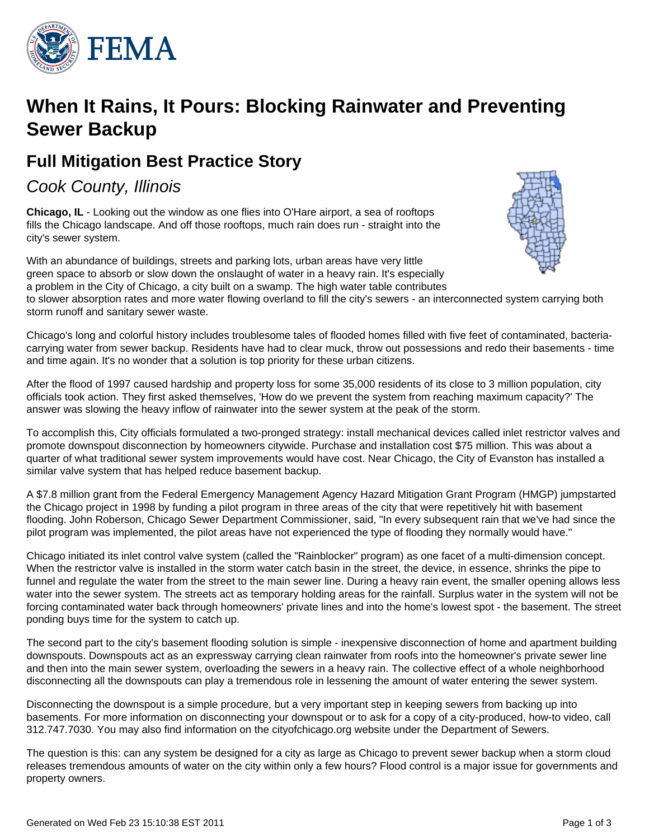

# **When It Rains, It Pours: Blocking Rainwater and Preventing Sewer Backup**

# **Full Mitigation Best Practice Story**

Cook County, Illinois

**Chicago, IL** - Looking out the window as one flies into O'Hare airport, a sea of rooftops fills the Chicago landscape. And off those rooftops, much rain does run - straight into the city's sewer system.



With an abundance of buildings, streets and parking lots, urban areas have very little green space to absorb or slow down the onslaught of water in a heavy rain. It's especially a problem in the City of Chicago, a city built on a swamp. The high water table contributes to slower absorption rates and more water flowing overland to fill the city's sewers - an interconnected system carrying both storm runoff and sanitary sewer waste.

Chicago's long and colorful history includes troublesome tales of flooded homes filled with five feet of contaminated, bacteriacarrying water from sewer backup. Residents have had to clear muck, throw out possessions and redo their basements - time and time again. It's no wonder that a solution is top priority for these urban citizens.

After the flood of 1997 caused hardship and property loss for some 35,000 residents of its close to 3 million population, city officials took action. They first asked themselves, 'How do we prevent the system from reaching maximum capacity?' The answer was slowing the heavy inflow of rainwater into the sewer system at the peak of the storm.

To accomplish this, City officials formulated a two-pronged strategy: install mechanical devices called inlet restrictor valves and promote downspout disconnection by homeowners citywide. Purchase and installation cost \$75 million. This was about a quarter of what traditional sewer system improvements would have cost. Near Chicago, the City of Evanston has installed a similar valve system that has helped reduce basement backup.

A \$7.8 million grant from the Federal Emergency Management Agency Hazard Mitigation Grant Program (HMGP) jumpstarted the Chicago project in 1998 by funding a pilot program in three areas of the city that were repetitively hit with basement flooding. John Roberson, Chicago Sewer Department Commissioner, said, "In every subsequent rain that we've had since the pilot program was implemented, the pilot areas have not experienced the type of flooding they normally would have."

Chicago initiated its inlet control valve system (called the "Rainblocker" program) as one facet of a multi-dimension concept. When the restrictor valve is installed in the storm water catch basin in the street, the device, in essence, shrinks the pipe to funnel and regulate the water from the street to the main sewer line. During a heavy rain event, the smaller opening allows less water into the sewer system. The streets act as temporary holding areas for the rainfall. Surplus water in the system will not be forcing contaminated water back through homeowners' private lines and into the home's lowest spot - the basement. The street ponding buys time for the system to catch up.

The second part to the city's basement flooding solution is simple - inexpensive disconnection of home and apartment building downspouts. Downspouts act as an expressway carrying clean rainwater from roofs into the homeowner's private sewer line and then into the main sewer system, overloading the sewers in a heavy rain. The collective effect of a whole neighborhood disconnecting all the downspouts can play a tremendous role in lessening the amount of water entering the sewer system.

Disconnecting the downspout is a simple procedure, but a very important step in keeping sewers from backing up into basements. For more information on disconnecting your downspout or to ask for a copy of a city-produced, how-to video, call 312.747.7030. You may also find information on the cityofchicago.org website under the Department of Sewers.

The question is this: can any system be designed for a city as large as Chicago to prevent sewer backup when a storm cloud releases tremendous amounts of water on the city within only a few hours? Flood control is a major issue for governments and property owners.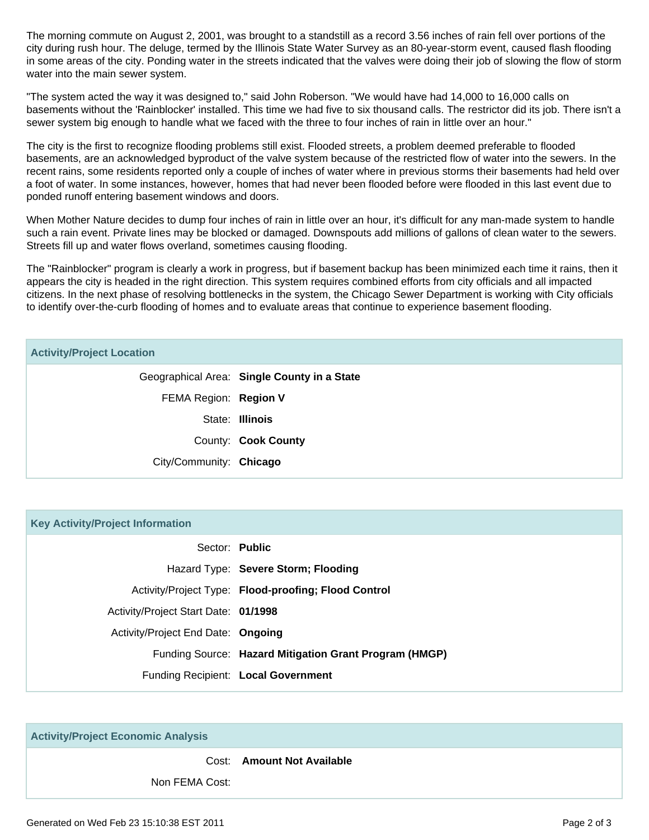The morning commute on August 2, 2001, was brought to a standstill as a record 3.56 inches of rain fell over portions of the city during rush hour. The deluge, termed by the Illinois State Water Survey as an 80-year-storm event, caused flash flooding in some areas of the city. Ponding water in the streets indicated that the valves were doing their job of slowing the flow of storm water into the main sewer system.

"The system acted the way it was designed to," said John Roberson. "We would have had 14,000 to 16,000 calls on basements without the 'Rainblocker' installed. This time we had five to six thousand calls. The restrictor did its job. There isn't a sewer system big enough to handle what we faced with the three to four inches of rain in little over an hour."

The city is the first to recognize flooding problems still exist. Flooded streets, a problem deemed preferable to flooded basements, are an acknowledged byproduct of the valve system because of the restricted flow of water into the sewers. In the recent rains, some residents reported only a couple of inches of water where in previous storms their basements had held over a foot of water. In some instances, however, homes that had never been flooded before were flooded in this last event due to ponded runoff entering basement windows and doors.

When Mother Nature decides to dump four inches of rain in little over an hour, it's difficult for any man-made system to handle such a rain event. Private lines may be blocked or damaged. Downspouts add millions of gallons of clean water to the sewers. Streets fill up and water flows overland, sometimes causing flooding.

The "Rainblocker" program is clearly a work in progress, but if basement backup has been minimized each time it rains, then it appears the city is headed in the right direction. This system requires combined efforts from city officials and all impacted citizens. In the next phase of resolving bottlenecks in the system, the Chicago Sewer Department is working with City officials to identify over-the-curb flooding of homes and to evaluate areas that continue to experience basement flooding.

## **Activity/Project Location**

|                         | Geographical Area: Single County in a State |
|-------------------------|---------------------------------------------|
| FEMA Region: Region V   |                                             |
|                         | State: Illinois                             |
|                         | County: Cook County                         |
| City/Community: Chicago |                                             |

| <b>Key Activity/Project Information</b> |                                                        |  |
|-----------------------------------------|--------------------------------------------------------|--|
|                                         | Sector: Public                                         |  |
|                                         | Hazard Type: Severe Storm; Flooding                    |  |
|                                         | Activity/Project Type: Flood-proofing; Flood Control   |  |
| Activity/Project Start Date: 01/1998    |                                                        |  |
| Activity/Project End Date: Ongoing      |                                                        |  |
|                                         | Funding Source: Hazard Mitigation Grant Program (HMGP) |  |
|                                         | Funding Recipient: Local Government                    |  |

**Activity/Project Economic Analysis** Cost: **Amount Not Available** Non FEMA Cost: